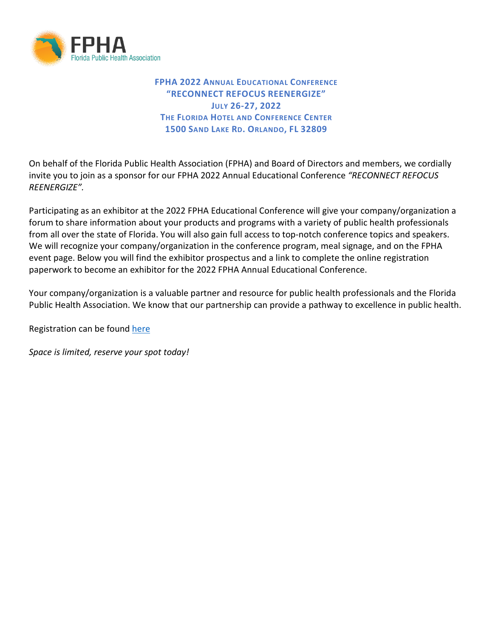

**FPHA 2022 ANNUAL EDUCATIONAL CONFERENCE "RECONNECT REFOCUS REENERGIZE" JULY 26-27, 2022 THE FLORIDA HOTEL AND CONFERENCE CENTER 1500 SAND LAKE RD. ORLANDO, FL 32809**

On behalf of the Florida Public Health Association (FPHA) and Board of Directors and members, we cordially invite you to join as a sponsor for our FPHA 2022 Annual Educational Conference *"RECONNECT REFOCUS REENERGIZE".*

Participating as an exhibitor at the 2022 FPHA Educational Conference will give your company/organization a forum to share information about your products and programs with a variety of public health professionals from all over the state of Florida. You will also gain full access to top-notch conference topics and speakers. We will recognize your company/organization in the conference program, meal signage, and on the FPHA event page. Below you will find the exhibitor prospectus and a link to complete the online registration paperwork to become an exhibitor for the 2022 FPHA Annual Educational Conference.

Your company/organization is a valuable partner and resource for public health professionals and the Florida Public Health Association. We know that our partnership can provide a pathway to excellence in public health.

Registration can be found here

*Space is limited, reserve your spot today!*